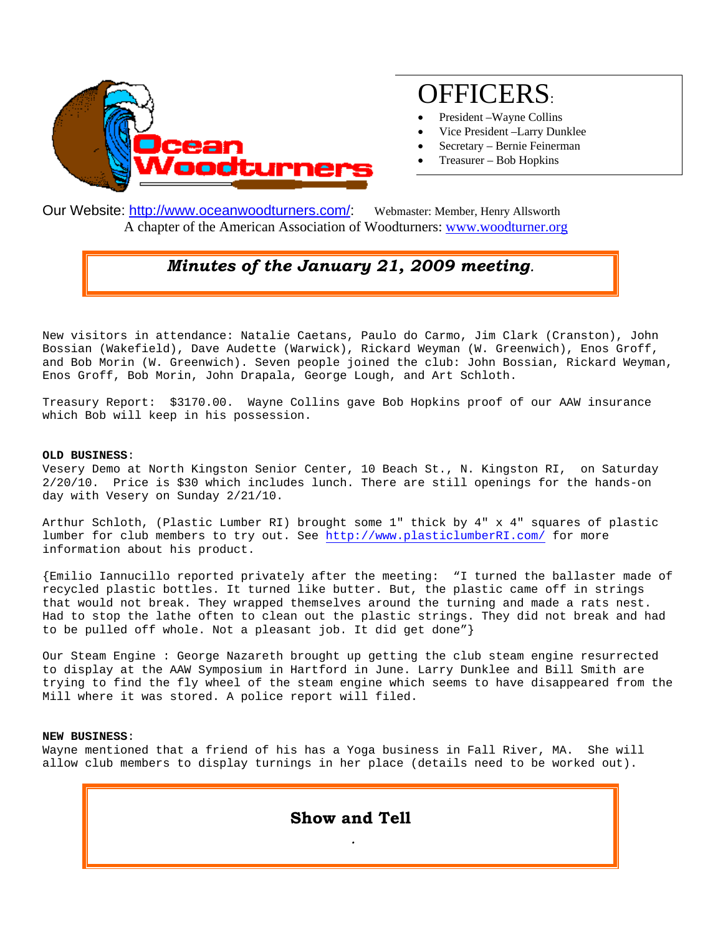

# OFFICERS:

- President –Wayne Collins
- Vice President –Larry Dunklee
- Secretary Bernie Feinerman
- Treasurer Bob Hopkins

Our Website: http://www.oceanwoodturners.com/: Webmaster: Member, Henry Allsworth A chapter of the American Association of Woodturners: www.woodturner.org

## *Minutes of the January 21, 2009 meeting.*

New visitors in attendance: Natalie Caetans, Paulo do Carmo, Jim Clark (Cranston), John Bossian (Wakefield), Dave Audette (Warwick), Rickard Weyman (W. Greenwich), Enos Groff, and Bob Morin (W. Greenwich). Seven people joined the club: John Bossian, Rickard Weyman, Enos Groff, Bob Morin, John Drapala, George Lough, and Art Schloth.

Treasury Report: \$3170.00. Wayne Collins gave Bob Hopkins proof of our AAW insurance which Bob will keep in his possession.

#### **OLD BUSINESS**:

Vesery Demo at North Kingston Senior Center, 10 Beach St., N. Kingston RI, on Saturday 2/20/10. Price is \$30 which includes lunch. There are still openings for the hands-on day with Vesery on Sunday 2/21/10.

Arthur Schloth, (Plastic Lumber RI) brought some 1" thick by 4" x 4" squares of plastic lumber for club members to try out. See http://www.plasticlumberRI.com/ for more information about his product.

{Emilio Iannucillo reported privately after the meeting: "I turned the ballaster made of recycled plastic bottles. It turned like butter. But, the plastic came off in strings that would not break. They wrapped themselves around the turning and made a rats nest. Had to stop the lathe often to clean out the plastic strings. They did not break and had to be pulled off whole. Not a pleasant job. It did get done"}

Our Steam Engine : George Nazareth brought up getting the club steam engine resurrected to display at the AAW Symposium in Hartford in June. Larry Dunklee and Bill Smith are trying to find the fly wheel of the steam engine which seems to have disappeared from the Mill where it was stored. A police report will filed.

#### **NEW BUSINESS**:

Wayne mentioned that a friend of his has a Yoga business in Fall River, MA. She will allow club members to display turnings in her place (details need to be worked out).

> **Show and Tell**   *.*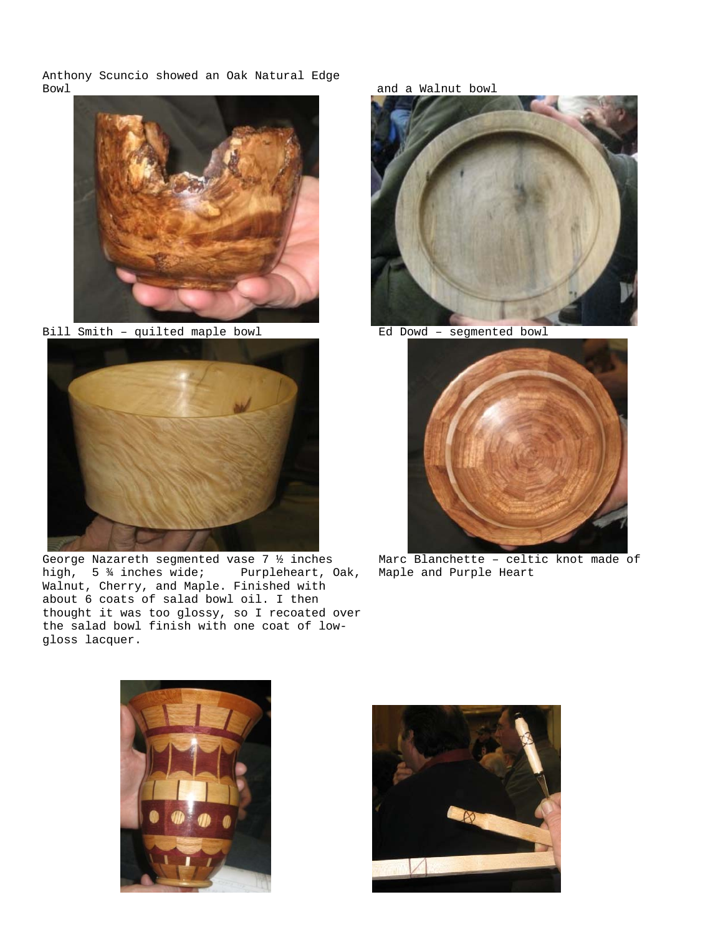Anthony Scuncio showed an Oak Natural Edge Bowl Bowl and a Walnut bowl and a Walnut bowl and a Walnut bowl and a Walnut bowl and a Walnut bowl and  $\alpha$ 



Bill Smith – quilted maple bowl Ed Dowd – segmented bowl



George Nazareth segmented vase 7 ½ inches high, 5 ¾ inches wide; Purpleheart, Oak, Walnut, Cherry, and Maple. Finished with about 6 coats of salad bowl oil. I then thought it was too glossy, so I recoated over the salad bowl finish with one coat of lowgloss lacquer.





Marc Blanchette - celtic knot made of Maple and Purple Heart



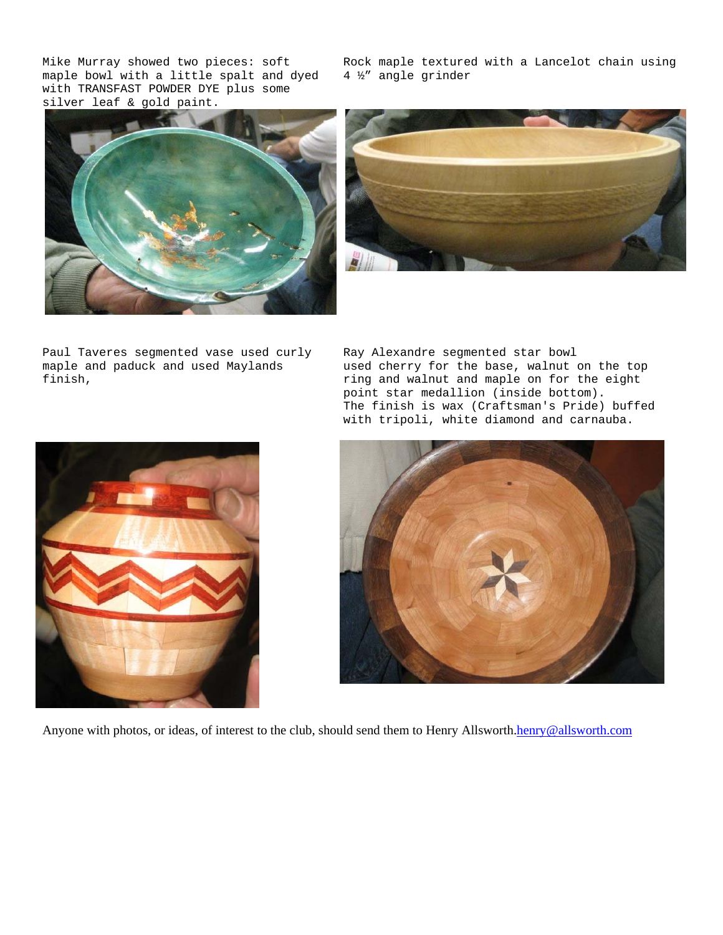Mike Murray showed two pieces: soft maple bowl with a little spalt and dyed with TRANSFAST POWDER DYE plus some silver leaf & gold paint.

Rock maple textured with a Lancelot chain using 4 ½" angle grinder





Paul Taveres segmented vase used curly maple and paduck and used Maylands finish,

Ray Alexandre segmented star bowl used cherry for the base, walnut on the top ring and walnut and maple on for the eight point star medallion (inside bottom). The finish is wax (Craftsman's Pride) buffed with tripoli, white diamond and carnauba.





Anyone with photos, or ideas, of interest to the club, should send them to Henry Allsworth.henry@allsworth.com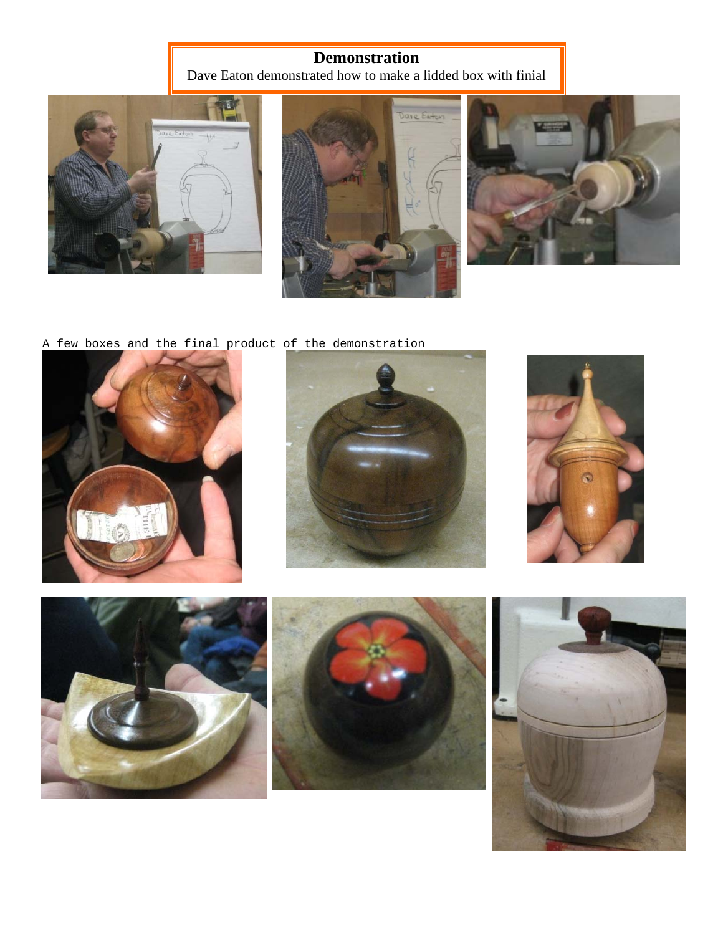# **Demonstration**

Dave Eaton demonstrated how to make a lidded box with finial







A few boxes and the final product of the demonstration